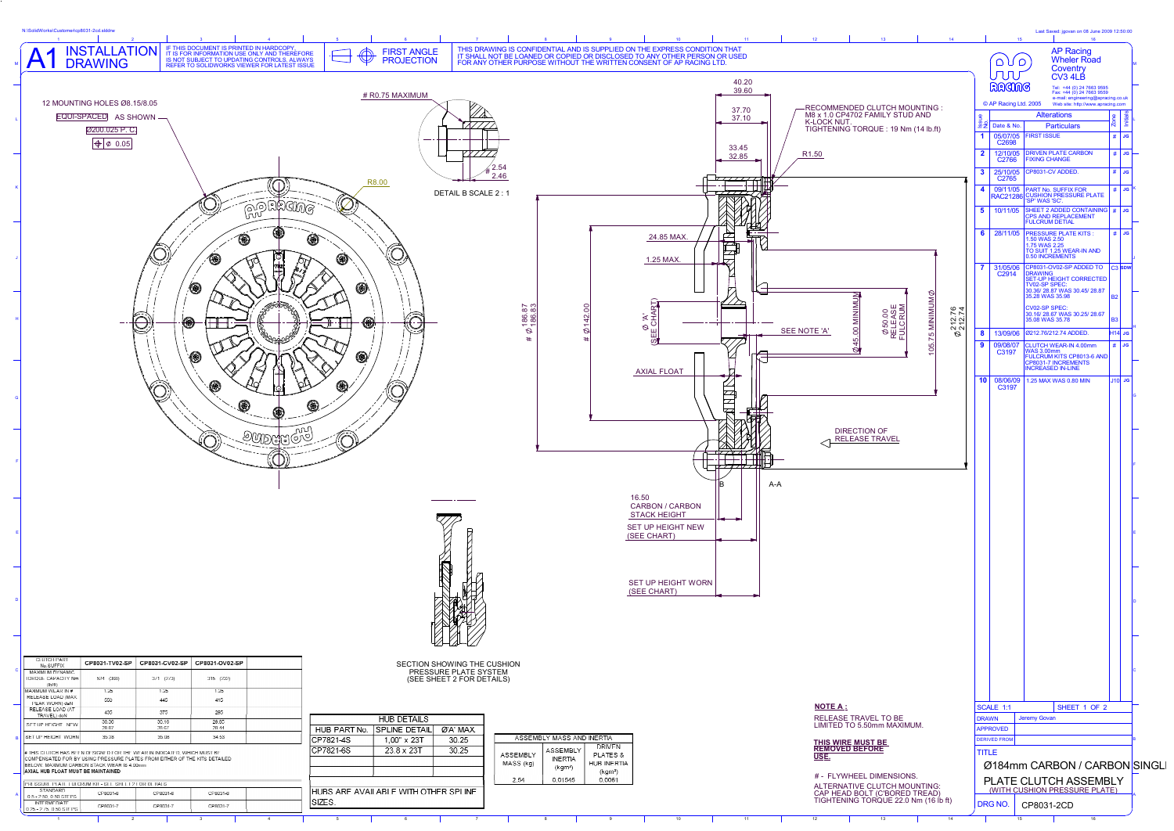